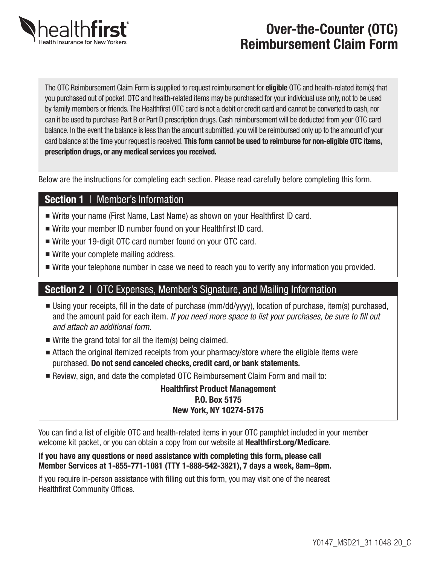

# Over-the-Counter (OTC) Reimbursement Claim Form

The OTC Reimbursement Claim Form is supplied to request reimbursement for **eligible** OTC and health-related item(s) that you purchased out of pocket. OTC and health-related items may be purchased for your individual use only, not to be used by family members or friends. The Healthfirst OTC card is not a debit or credit card and cannot be converted to cash, nor can it be used to purchase Part B or Part D prescription drugs. Cash reimbursement will be deducted from your OTC card balance. In the event the balance is less than the amount submitted, you will be reimbursed only up to the amount of your card balance at the time your request is received. This form cannot be used to reimburse for non-eligible OTC items, prescription drugs, or any medical services you received.

Below are the instructions for completing each section. Please read carefully before completing this form.

### Section 1 | Member's Information

- Write your name (First Name, Last Name) as shown on your Healthfirst ID card.
- Write your member ID number found on your Healthfirst ID card.
- Write your 19-digit OTC card number found on your OTC card.
- $\blacksquare$  Write your complete mailing address.
- Write your telephone number in case we need to reach you to verify any information you provided.

### Section 2 | OTC Expenses, Member's Signature, and Mailing Information

- n Using your receipts, fill in the date of purchase (mm/dd/yyyy), location of purchase, item(s) purchased, and the amount paid for each item. *If you need more space to list your purchases, be sure to fill out and attach an additional form.*
- $\blacksquare$  Write the grand total for all the item(s) being claimed.
- Attach the original itemized receipts from your pharmacy/store where the eligible items were purchased. Do not send canceled checks, credit card, or bank statements.
- n Review, sign, and date the completed OTC Reimbursement Claim Form and mail to:

#### Healthfirst Product Management P.O. Box 5175 New York, NY 10274-5175

You can find a list of eligible OTC and health-related items in your OTC pamphlet included in your member welcome kit packet, or you can obtain a copy from our website at **Healthfirst.org/Medicare**.

#### If you have any questions or need assistance with completing this form, please call Member Services at 1-855-771-1081 (TTY 1-888-542-3821), 7 days a week, 8am–8pm.

If you require in-person assistance with filling out this form, you may visit one of the nearest Healthfirst Community Offices.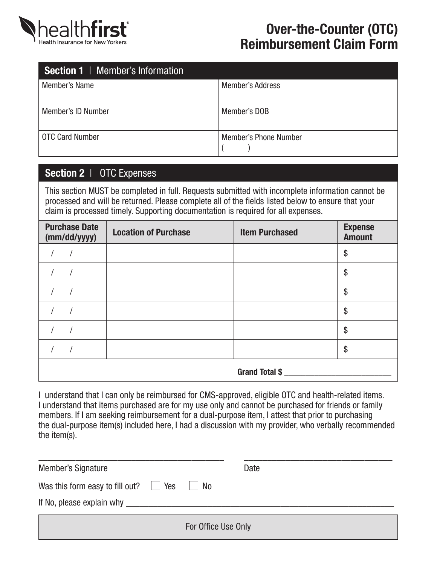

## Over-the-Counter (OTC) Reimbursement Claim Form

| <b>Section 1</b>   Member's Information |                              |
|-----------------------------------------|------------------------------|
| Member's Name                           | <b>Member's Address</b>      |
| <b>Member's ID Number</b>               | Member's DOB                 |
| <b>OTC Card Number</b>                  | <b>Member's Phone Number</b> |

## Section 2 | OTC Expenses

This section MUST be completed in full. Requests submitted with incomplete information cannot be processed and will be returned. Please complete all of the fields listed below to ensure that your claim is processed timely. Supporting documentation is required for all expenses.

| <b>Purchase Date</b><br>(mm/dd/yyyy) | <b>Location of Purchase</b> | <b>Item Purchased</b> | <b>Expense</b><br><b>Amount</b> |
|--------------------------------------|-----------------------------|-----------------------|---------------------------------|
|                                      |                             |                       | \$                              |
|                                      |                             |                       | \$                              |
|                                      |                             |                       | \$                              |
|                                      |                             |                       | \$                              |
|                                      |                             |                       | \$                              |
|                                      |                             |                       | \$                              |
|                                      |                             | Grand Total \$        |                                 |

I understand that I can only be reimbursed for CMS-approved, eligible OTC and health-related items. I understand that items purchased are for my use only and cannot be purchased for friends or family members. If I am seeking reimbursement for a dual-purpose item, I attest that prior to purchasing the dual-purpose item(s) included here, I had a discussion with my provider, who verbally recommended the item(s).

| Member's Signature                                                      | Date                |  |
|-------------------------------------------------------------------------|---------------------|--|
| Was this form easy to fill out? $\Box$ Yes<br>If No, please explain why | <b>No</b>           |  |
|                                                                         | For Office Use Only |  |